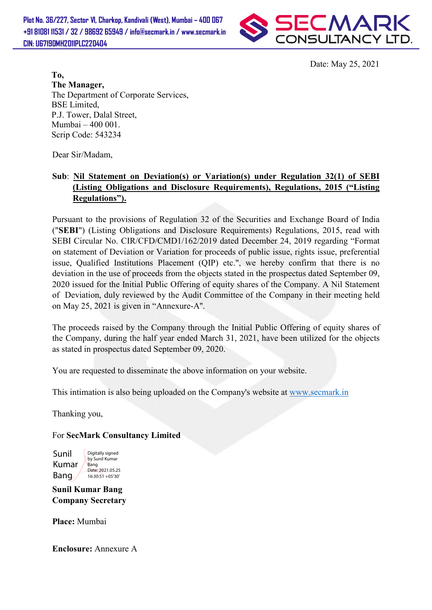Plot No. 36/227, Sector VI, Charkop, Kandivali (West), Mumbai Mumbai – 400 067 +91 81081 11531 / 32 / 98692 65949 / info@secmark.in / www.secmark.in 98692 CIN: U67190MH2011PLC220404



To, The Manager, The Department of Corporate Services, BSE Limited, P.J. Tower, Dalal Street, Mumbai – 400 001. Scrip Code: 543234

Dear Sir/Madam,

## Regulations"). Sub: Nil Statement on Deviation(s) or Variation(s) under Regulation 32(1) of SEBI (Listing Obligations and Disclosure Requirements), Regulations, 2015 ("Listing

Pursuant to the provisions of Regulation 32 of the Securities and Exchange Board of India Pursuant to the provisions of Regulation 32 of the Securities and Exchange Board of India ("SEBI") (Listing Obligations and Disclosure Requirements) Regulations, 2015, read with ("SEBI") (Listing Obligations and Disclosure Requirements) Regulations, 2015, read with SEBI Circular No. CIR/CFD/CMD1/162/2019 dated December 24, 2019 regarding "Format on statement of Deviation or Variation for proceeds of public issue, rights issue, preferential issue, Qualified Institutions Placement (QIP) etc.", we hereby confirm that there is no issue, Qualified Institutions Placement (QIP) etc.", we hereby confirm that there is no deviation in the use of proceeds from the objects stated in the prospectus dated September 09, deviation in the use of proceeds from the objects stated in the prospectus dated September 09,<br>2020 issued for the Initial Public Offering of equity shares of the Company. A Nil Statement of Deviation, duly reviewed by the Audit Committee of the Company in their meeting held on May 25, 2021 is given in " "Annexure-A''. Bate: May 25, 2021<br>
pater.<br>
are the ded,<br>
and the Corporate Services,<br>
and edd,<br>
and Street,<br>
and 8001.<br>
and 8001.<br>
and 80001.<br>
and 80001.<br>
and 80001.<br> **Statement on Deviations and Disclosure Requirements), Regulations 320** 

The proceeds raised by the Company through the Initial Public Offering of equity shares of the Company, during the half year ended March 31, 2021, have been utilized for the objects as stated in prospectus dated September 09, 2020. as stated in prospectus dated September 09, 2020

You are requested to disseminate the above information on your website.

This intimation is also being uploaded on the Company's website at www.secmark.in

Thanking you,

## For SecMark Consultancy Limited

Sunil Kumar Bang Digitally signed by Sunil Kumar Bang Date: 2021.05.25 16:30:51 +05'30'

Sunil Kumar Bang Company Secretary

Place: Mumbai

Enclosure: Annexure A